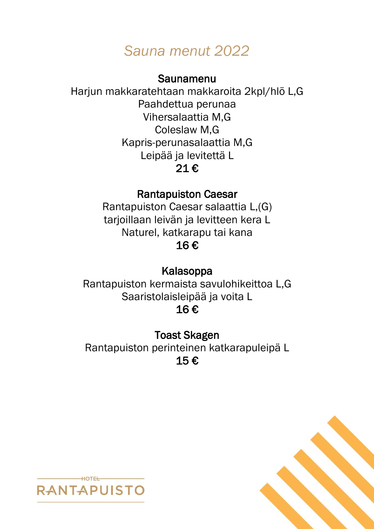# *Sauna menut 2022*

### Saunamenu

Harjun makkaratehtaan makkaroita 2kpl/hlö L,G Paahdettua perunaa Vihersalaattia M,G Coleslaw M,G Kapris-perunasalaattia M,G Leipää ja levitettä L 21 €

## Rantapuiston Caesar

Rantapuiston Caesar salaattia L,(G) tarjoillaan leivän ja levitteen kera L Naturel, katkarapu tai kana 16 €

## Kalasoppa

Rantapuiston kermaista savulohikeittoa L,G Saaristolaisleipää ja voita L 16 €

Toast Skagen Rantapuiston perinteinen katkarapuleipä L 15 €



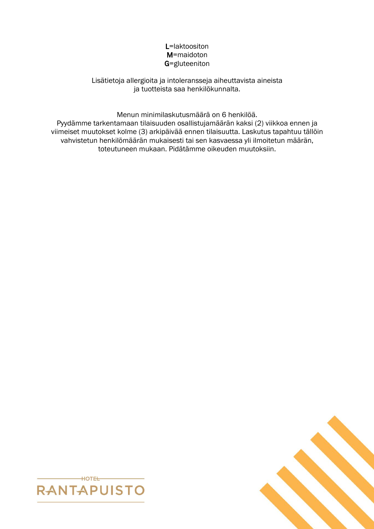#### L=laktoositon M=maidoton G=gluteeniton

Lisätietoja allergioita ja intoleransseja aiheuttavista aineista ja tuotteista saa henkilökunnalta.

Menun minimilaskutusmäärä on 6 henkilöä.

Pyydämme tarkentamaan tilaisuuden osallistujamäärän kaksi (2) viikkoa ennen ja viimeiset muutokset kolme (3) arkipäivää ennen tilaisuutta. Laskutus tapahtuu tällöin vahvistetun henkilömäärän mukaisesti tai sen kasvaessa yli ilmoitetun määrän, toteutuneen mukaan. Pidätämme oikeuden muutoksiin.



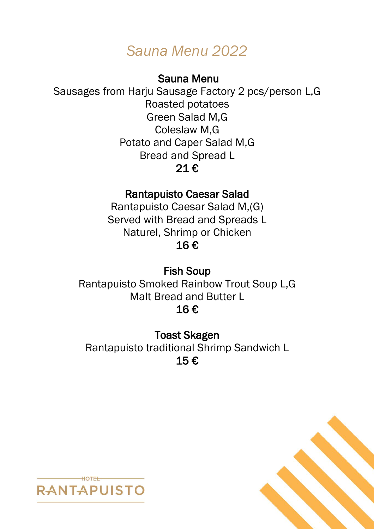# *Sauna Menu 2022*

### Sauna Menu

Sausages from Harju Sausage Factory 2 pcs/person L,G Roasted potatoes Green Salad M,G Coleslaw M,G Potato and Caper Salad M,G Bread and Spread L 21 €

## Rantapuisto Caesar Salad

Rantapuisto Caesar Salad M,(G) Served with Bread and Spreads L Naturel, Shrimp or Chicken 16 €

Fish Soup Rantapuisto Smoked Rainbow Trout Soup L,G Malt Bread and Butter L 16 €

Toast Skagen Rantapuisto traditional Shrimp Sandwich L 15 €